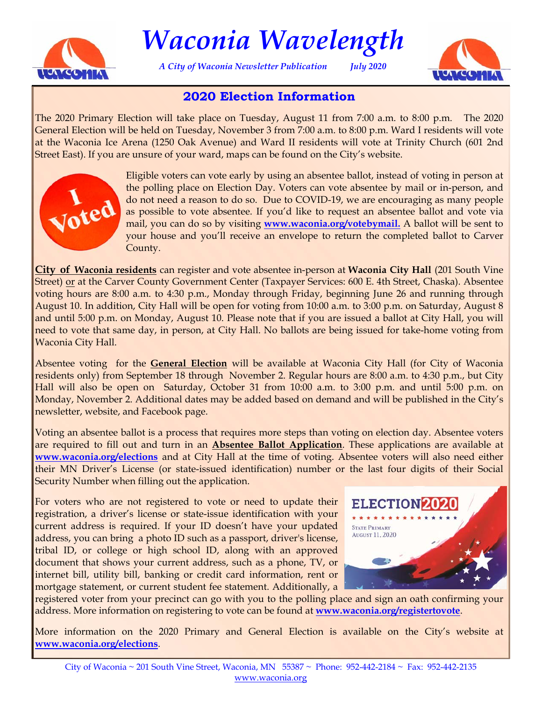

# *Waconia Wavelength*

*A City of Waconia Newsletter Publication July 2020* 



## **2020 Election Information**

The 2020 Primary Election will take place on Tuesday, August 11 from 7:00 a.m. to 8:00 p.m. The 2020 General Election will be held on Tuesday, November 3 from 7:00 a.m. to 8:00 p.m. Ward I residents will vote at the Waconia Ice Arena (1250 Oak Avenue) and Ward II residents will vote at Trinity Church (601 2nd Street East). If you are unsure of your ward, maps can be found on the City's website.



Eligible voters can vote early by using an absentee ballot, instead of voting in person at the polling place on Election Day. Voters can vote absentee by mail or in-person, and do not need a reason to do so. Due to COVID-19, we are encouraging as many people as possible to vote absentee. If you'd like to request an absentee ballot and vote via mail, you can do so by visiting **[www.waconia.org/votebymail.](https://www.sos.state.mn.us/elections-voting/other-ways-to-vote/vote-early-by-mail/)** A ballot will be sent to your house and you'll receive an envelope to return the completed ballot to Carver County.

**City of Waconia residents** can register and vote absentee in-person at **Waconia City Hall** (201 South Vine Street) or at the Carver County Government Center (Taxpayer Services: 600 E. 4th Street, Chaska). Absentee voting hours are 8:00 a.m. to 4:30 p.m., Monday through Friday, beginning June 26 and running through August 10. In addition, City Hall will be open for voting from 10:00 a.m. to 3:00 p.m. on Saturday, August 8 and until 5:00 p.m. on Monday, August 10. Please note that if you are issued a ballot at City Hall, you will need to vote that same day, in person, at City Hall. No ballots are being issued for take-home voting from Waconia City Hall.

Absentee voting for the **General Election** will be available at Waconia City Hall (for City of Waconia residents only) from September 18 through November 2. Regular hours are 8:00 a.m. to 4:30 p.m., but City Hall will also be open on Saturday, October 31 from 10:00 a.m. to 3:00 p.m. and until 5:00 p.m. on Monday, November 2. Additional dates may be added based on demand and will be published in the City's newsletter, website, and Facebook page.

Voting an absentee ballot is a process that requires more steps than voting on election day. Absentee voters are required to fill out and turn in an **Absentee Ballot Application**. These applications are available at **[www.waconia.org/elections](https://www.waconia.org/166/Elections-Voting)** and at City Hall at the time of voting. Absentee voters will also need either their MN Driver's License (or state-issued identification) number or the last four digits of their Social Security Number when filling out the application.

For voters who are not registered to vote or need to update their registration, a driver's license or state-issue identification with your current address is required. If your ID doesn't have your updated address, you can bring a photo ID such as a passport, driver's license, tribal ID, or college or high school ID, along with an approved document that shows your current address, such as a phone, TV, or internet bill, utility bill, banking or credit card information, rent or mortgage statement, or current student fee statement. Additionally, a



registered voter from your precinct can go with you to the polling place and sign an oath confirming your address. More information on registering to vote can be found at **[www.waconia.org/registertovote](https://www.waconia.org/461/Register-to-Vote)**.

More information on the 2020 Primary and General Election is available on the City's website at **[www.waconia.org/elections](https://www.waconia.org/166/Elections-Voting)**.